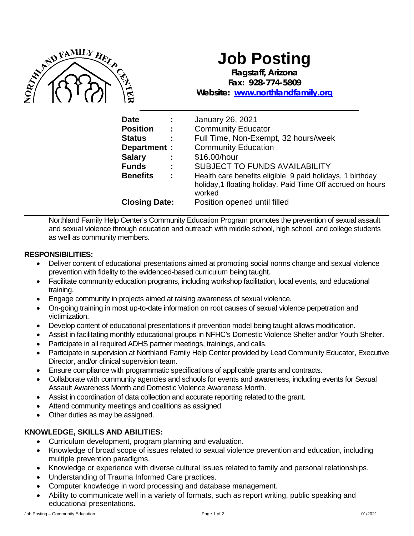

# **Job Posting**

**Flagstaff, Arizona Fax: 928-774-5809**

**Website: [www.northlandfamily.org](http://www.northlandfamily.org/)**

| <b>Date</b>          | ÷   | January 26, 2021                                                                                                                    |
|----------------------|-----|-------------------------------------------------------------------------------------------------------------------------------------|
| <b>Position</b>      | - 1 | <b>Community Educator</b>                                                                                                           |
| <b>Status</b>        | ÷   | Full Time, Non-Exempt, 32 hours/week                                                                                                |
| Department :         |     | <b>Community Education</b>                                                                                                          |
| <b>Salary</b>        | ÷   | \$16.00/hour                                                                                                                        |
| <b>Funds</b>         | ÷   | <b>SUBJECT TO FUNDS AVAILABILITY</b>                                                                                                |
| <b>Benefits</b>      | ÷   | Health care benefits eligible. 9 paid holidays, 1 birthday<br>holiday, 1 floating holiday. Paid Time Off accrued on hours<br>worked |
| <b>Closing Date:</b> |     | Position opened until filled                                                                                                        |

Northland Family Help Center's Community Education Program promotes the prevention of sexual assault and sexual violence through education and outreach with middle school, high school, and college students as well as community members.

## **RESPONSIBILITIES:**

- Deliver content of educational presentations aimed at promoting social norms change and sexual violence prevention with fidelity to the evidenced-based curriculum being taught.
- Facilitate community education programs, including workshop facilitation, local events, and educational training.
- Engage community in projects aimed at raising awareness of sexual violence.
- On-going training in most up-to-date information on root causes of sexual violence perpetration and victimization.
- Develop content of educational presentations if prevention model being taught allows modification.
- Assist in facilitating monthly educational groups in NFHC's Domestic Violence Shelter and/or Youth Shelter.
- Participate in all required ADHS partner meetings, trainings, and calls.
- Participate in supervision at Northland Family Help Center provided by Lead Community Educator, Executive Director, and/or clinical supervision team.
- Ensure compliance with programmatic specifications of applicable grants and contracts.
- Collaborate with community agencies and schools for events and awareness, including events for Sexual Assault Awareness Month and Domestic Violence Awareness Month.
- Assist in coordination of data collection and accurate reporting related to the grant.
- Attend community meetings and coalitions as assigned.
- Other duties as may be assigned.

# **KNOWLEDGE, SKILLS AND ABILITIES:**

- Curriculum development, program planning and evaluation.
- Knowledge of broad scope of issues related to sexual violence prevention and education, including multiple prevention paradigms.
- Knowledge or experience with diverse cultural issues related to family and personal relationships.
- Understanding of Trauma Informed Care practices.
- Computer knowledge in word processing and database management.
- Ability to communicate well in a variety of formats, such as report writing, public speaking and educational presentations.